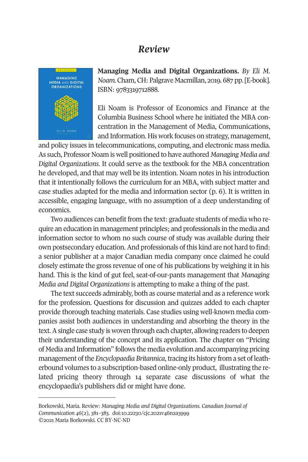## *Review*

**MANAGING** MEDIA AND DIGITAL<br>ORGANIZATIONS **Managing Media and Digital Organizations.** *By Eli M. Noam.* Cham, CH: Palgrave Macmillan, 2019. 687 pp. [E-book]. ISBN: 9783319712888.

Eli Noam is Professor of Economics and Finance at the Columbia Business School where he initiated the MBA concentration in the Management of Media, Communications, and Information. His work focuses on strategy, management,

and policy issues in telecommunications, computing, and electronic mass media. As such, Professor Noam is well positioned to have authored *Managing Media and Digital Organizations*. It could serve as the textbook for the MBA concentration he developed, and that may well be its intention. Noam notes in his introduction that it intentionally follows the curriculum for an MBA, with subject matter and case studies adapted for the media and information sector (p. 6). It is written in accessible, engaging language, with no assumption of a deep understanding of economics.

Two audiences can benefit from the text: graduate students of media who require an education in management principles; and professionals in the media and information sector to whom no such course of study was available during their own postsecondary education. And professionals of this kind are not hard to find: a senior publisher at a major Canadian media company once claimed he could closely estimate the gross revenue of one of his publications by weighing it in his hand. This is the kind of gut feel, seat-of-our-pants management that *Managing Media and Digital Organizations* is attempting to make a thing of the past.

The text succeeds admirably, both as course material and as a reference work for the profession. Questions for discussion and quizze[s added to each c](http://www.cjc-online.ca)hapter [provide thoro](http://www.cjc-online.ca)ugh teaching [materials. Case studies us](http://doi.org/10.22230/cjc.2021v46n2a3999)ing well-known media companies assist both audiences in understanding and absorbing the theory in the text. A single case study is woven through each chapter, allowing readers to deepen their understanding of the concept and its application. The chapter on "Pricing of Media and Information" follows the media evolution and accompanying pricing management of the *Encyclopaedia Britannica*, tracing its history from a set of leatherbound volumes to a subscription-based online-only product, illustrating the related pricing theory through 14 separate case discussions of what the encyclopaedia's publishers did or might have done.

Borkowski, Maria. Review: *Managing Media and Digital Organizations. Canadian Journal of Communication 46*(2), 381–383. doi:10.22230/cjc.2021v46n2a3999 ©2021 Maria Borkowski. CC BY-NC-ND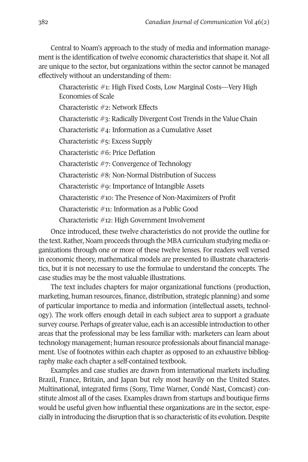382 *Canadian Journal of Communication* Vol 46(2)

Central to Noam's approach to the study of media and information management is the identification of twelve economic characteristics that shape it. Not all are unique to the sector, but organizations within the sector cannot be managed effectively without an understanding of them:

Characteristic #1: High Fixed Costs, Low Marginal Costs—Very High Economies of Scale

Characteristic #2: Network Effects

Characteristic #3: Radically Divergent Cost Trends in the Value Chain

Characteristic #4: Information as a Cumulative Asset

Characteristic #5: Excess Supply

Characteristic #6: Price Deflation

Characteristic #7: Convergence of Technology

Characteristic #8: Non-Normal Distribution of Success

Characteristic #9: Importance of Intangible Assets

Characteristic #10: The Presence of Non-Maximizers of Profit

Characteristic #11: Information as a Public Good

Characteristic #12: High Government Involvement

Once introduced, these twelve characteristics do not provide the outline for the text. Rather, Noam proceeds through the MBA curriculum studying media organizations through one or more of these twelve lenses. For readers well versed in economic theory, mathematical models are presented to illustrate characteristics, but it is not necessary to use the formulae to understand the concepts. The case studies may be the most valuable illustrations.

The text includes chapters for major organizational functions (production, marketing, human resources, finance, distribution, strategic planning) and some of particular importance to media and information (intellectual assets, technology). The work offers enough detail in each subject area to support a graduate survey course. Perhaps of greater value, each is an accessible introduction to other areas that the professional may be less familiar with: marketers can learn about technology management; human resource professionals about financial management. Use of footnotes within each chapter as opposed to an exhaustive bibliography make each chapter a self-contained textbook.

Examples and case studies are drawn from international markets including Brazil, France, Britain, and Japan but rely most heavily on the United States. Multinational, integrated firms (Sony, Time Warner, Condé Nast, Comcast) constitute almost all of the cases. Examples drawn from startups and boutique firms would be useful given how influential these organizations are in the sector, especially in introducing the disruption that is so characteristic of its evolution. Despite